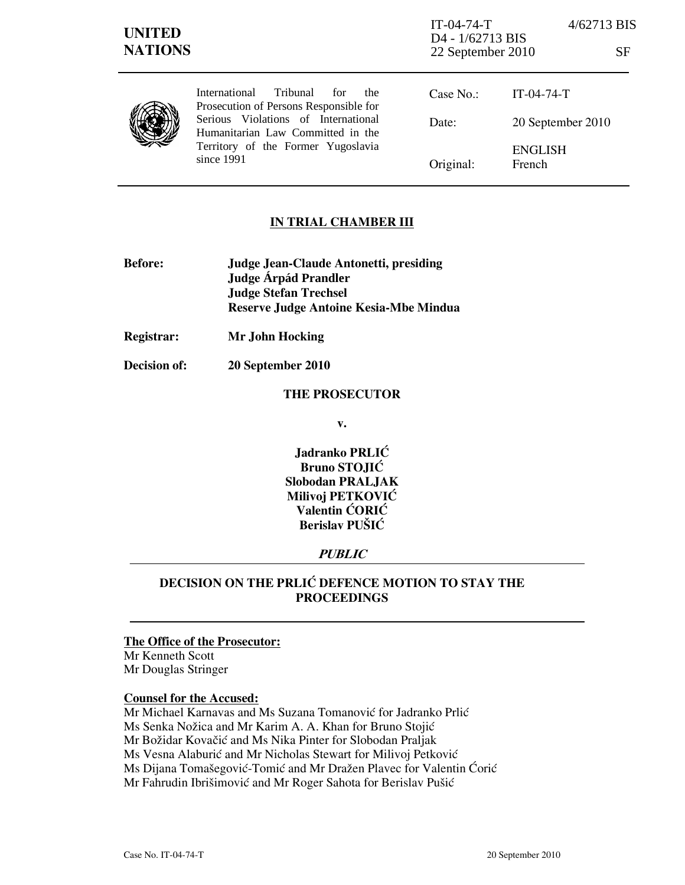| <b>UNITED</b><br><b>NATIONS</b> |                                                                                                                                                                                                                    | $IT-04-74-T$<br>D4 - 1/62713 BIS<br>22 September 2010 |                          | 4/62713 BIS<br><b>SF</b> |
|---------------------------------|--------------------------------------------------------------------------------------------------------------------------------------------------------------------------------------------------------------------|-------------------------------------------------------|--------------------------|--------------------------|
|                                 | Tribunal<br>International<br>for<br>the.<br>Prosecution of Persons Responsible for<br>Serious Violations of International<br>Humanitarian Law Committed in the<br>Territory of the Former Yugoslavia<br>since 1991 | Case No.                                              | $IT-04-74-T$             |                          |
|                                 |                                                                                                                                                                                                                    | Date:                                                 | 20 September 2010        |                          |
|                                 |                                                                                                                                                                                                                    | Original:                                             | <b>ENGLISH</b><br>French |                          |

### IN TRIAL CHAMBER III

| <b>Judge Jean-Claude Antonetti, presiding</b> |  |
|-----------------------------------------------|--|
| Judge Árpád Prandler                          |  |
| <b>Judge Stefan Trechsel</b>                  |  |
| Reserve Judge Antoine Kesia-Mbe Mindua        |  |
|                                               |  |

Registrar: Mr John Hocking

Decision of: 20 September 2010

#### THE PROSECUTOR

v.

Jadranko PRLIĆ Bruno STOJIĆ Slobodan PRALJAK Milivoj PETKOVIĆ Valentin ĆORIĆ Berislav PUŠIĆ

# **PUBLIC**

# DECISION ON THE PRLIĆ DEFENCE MOTION TO STAY THE PROCEEDINGS

# The Office of the Prosecutor:

Mr Kenneth Scott Mr Douglas Stringer

### Counsel for the Accused:

Mr Michael Karnavas and Ms Suzana Tomanović for Jadranko Prlić Ms Senka Nožica and Mr Karim A. A. Khan for Bruno Stojić Mr Božidar Kovačić and Ms Nika Pinter for Slobodan Praljak Ms Vesna Alaburić and Mr Nicholas Stewart for Milivoj Petković Ms Dijana Tomašegović-Tomić and Mr Dražen Plavec for Valentin Ćorić Mr Fahrudin Ibrišimović and Mr Roger Sahota for Berislav Pušić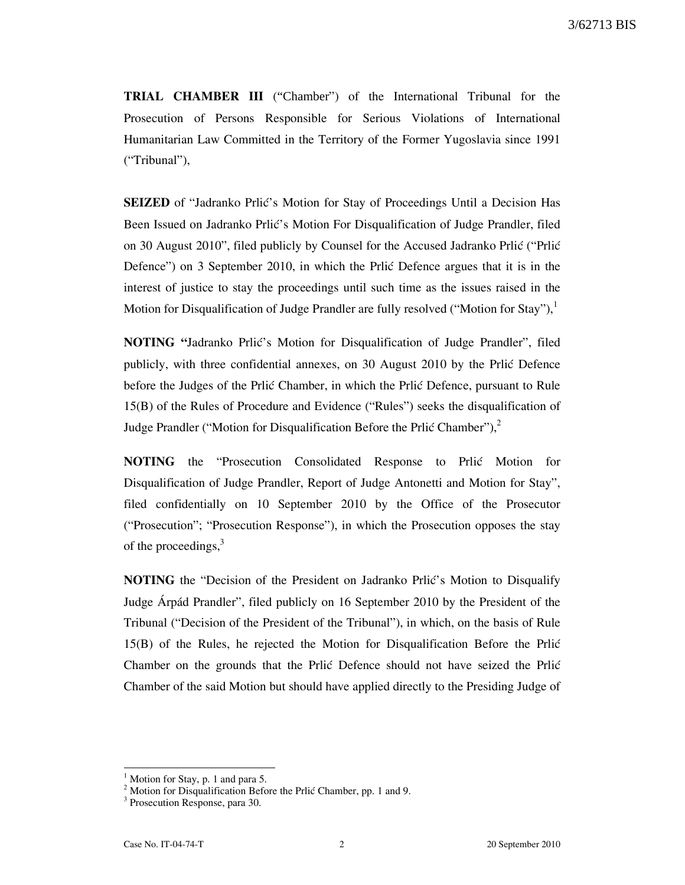TRIAL CHAMBER III ("Chamber") of the International Tribunal for the Prosecution of Persons Responsible for Serious Violations of International Humanitarian Law Committed in the Territory of the Former Yugoslavia since 1991 ("Tribunal"),

SEIZED of "Jadranko Prlić's Motion for Stay of Proceedings Until a Decision Has Been Issued on Jadranko Prlić's Motion For Disqualification of Judge Prandler, filed on 30 August 2010", filed publicly by Counsel for the Accused Jadranko Prlić ("Prlić Defence") on 3 September 2010, in which the Prlic Defence argues that it is in the interest of justice to stay the proceedings until such time as the issues raised in the Motion for Disqualification of Judge Prandler are fully resolved ("Motion for Stay"), $^1$ 

NOTING "Jadranko Prlić's Motion for Disqualification of Judge Prandler", filed publicly, with three confidential annexes, on 30 August 2010 by the Prlic Defence before the Judges of the Prlic Chamber, in which the Prlic Defence, pursuant to Rule 15(B) of the Rules of Procedure and Evidence ("Rules") seeks the disqualification of Judge Prandler ("Motion for Disqualification Before the Prlić Chamber"), $^2$ 

NOTING the "Prosecution Consolidated Response to Prlic Motion for Disqualification of Judge Prandler, Report of Judge Antonetti and Motion for Stay", filed confidentially on 10 September 2010 by the Office of the Prosecutor ("Prosecution"; "Prosecution Response"), in which the Prosecution opposes the stay of the proceedings, $3$ 

NOTING the "Decision of the President on Jadranko Prlić's Motion to Disqualify Judge Árpád Prandler", filed publicly on 16 September 2010 by the President of the Tribunal ("Decision of the President of the Tribunal"), in which, on the basis of Rule 15(B) of the Rules, he rejected the Motion for Disqualification Before the Prli} Chamber on the grounds that the Prlic Defence should not have seized the Prlic Chamber of the said Motion but should have applied directly to the Presiding Judge of

 $\overline{a}$ 

<sup>1</sup> Motion for Stay, p. 1 and para 5.

 $2^2$  Motion for Disqualification Before the Prlić Chamber, pp. 1 and 9.

<sup>&</sup>lt;sup>3</sup> Prosecution Response, para 30.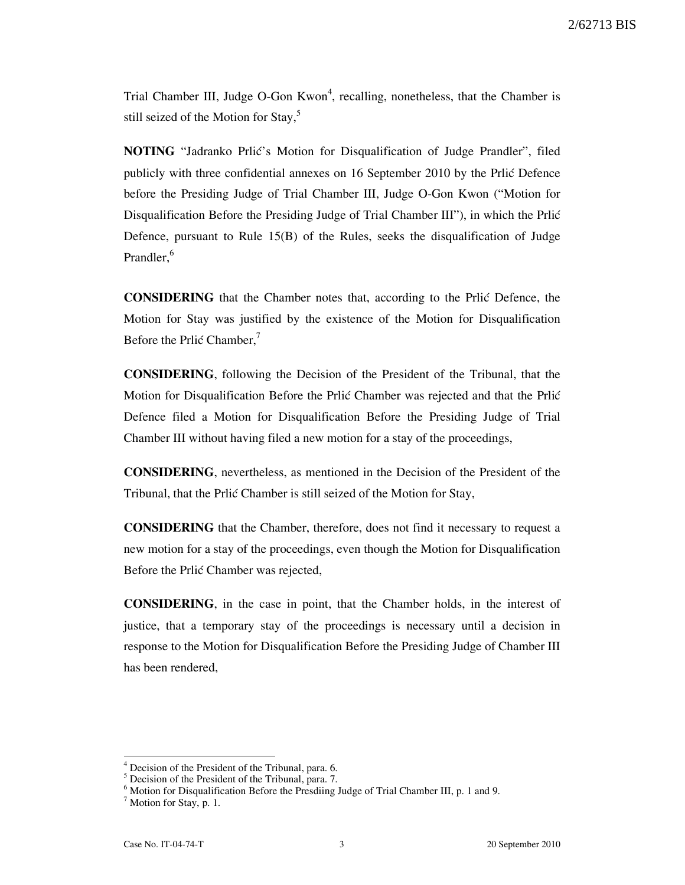Trial Chamber III, Judge O-Gon Kwon<sup>4</sup>, recalling, nonetheless, that the Chamber is still seized of the Motion for Stay,<sup>5</sup>

NOTING "Jadranko Prlić's Motion for Disqualification of Judge Prandler", filed publicly with three confidential annexes on 16 September 2010 by the Prlić Defence before the Presiding Judge of Trial Chamber III, Judge O-Gon Kwon ("Motion for Disqualification Before the Presiding Judge of Trial Chamber III"), in which the Prlić Defence, pursuant to Rule 15(B) of the Rules, seeks the disqualification of Judge Prandler.<sup>6</sup>

**CONSIDERING** that the Chamber notes that, according to the Prlic Defence, the Motion for Stay was justified by the existence of the Motion for Disqualification Before the Prlić Chamber,<sup>7</sup>

CONSIDERING, following the Decision of the President of the Tribunal, that the Motion for Disqualification Before the Prlic Chamber was rejected and that the Prlic Defence filed a Motion for Disqualification Before the Presiding Judge of Trial Chamber III without having filed a new motion for a stay of the proceedings,

CONSIDERING, nevertheless, as mentioned in the Decision of the President of the Tribunal, that the Prlić Chamber is still seized of the Motion for Stay,

CONSIDERING that the Chamber, therefore, does not find it necessary to request a new motion for a stay of the proceedings, even though the Motion for Disqualification Before the Prlić Chamber was rejected,

CONSIDERING, in the case in point, that the Chamber holds, in the interest of justice, that a temporary stay of the proceedings is necessary until a decision in response to the Motion for Disqualification Before the Presiding Judge of Chamber III has been rendered,

 $\overline{a}$ 

<sup>&</sup>lt;sup>4</sup> Decision of the President of the Tribunal, para. 6.

<sup>&</sup>lt;sup>5</sup> Decision of the President of the Tribunal, para. 7.

<sup>&</sup>lt;sup>6</sup> Motion for Disqualification Before the Presdiing Judge of Trial Chamber III, p. 1 and 9.

<sup>&</sup>lt;sup>7</sup> Motion for Stay, p. 1.